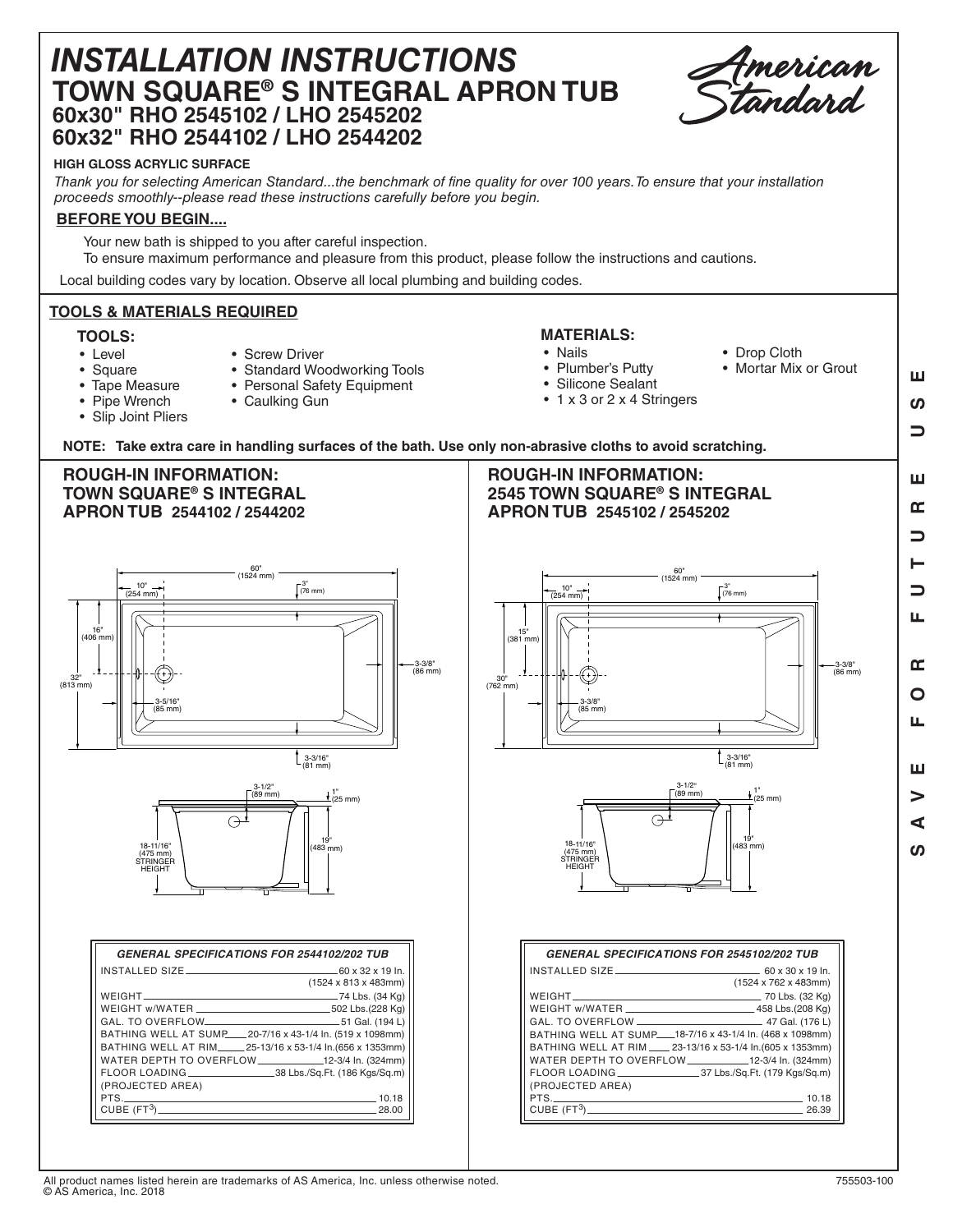# **TOWN SQUARE® S INTEGRAL APRON TUB 60x30" RHO 2545102 / LHO 2545202 60x32" RHO 2544102 / LHO 2544202** *INSTALLATION INSTRUCTIONS*



### **HIGH GLOSS ACRYLIC SURFACE**

*Thank you for selecting American Standard...the benchmark of fine quality for over 100 years. To ensure that your installation proceeds smoothly--please read these instructions carefully before you begin.*

## **BEFORE YOU BEGIN....**

Your new bath is shipped to you after careful inspection.

To ensure maximum performance and pleasure from this product, please follow the instructions and cautions.

Local building codes vary by location. Observe all local plumbing and building codes.

## **TOOLS & MATERIALS REQUIRED**

#### **TOOLS:**

- Level
- Square
- Screw Driver
- Standard Woodworking Tools • Personal Safety Equipment
- Caulking Gun
- Pipe Wrench
- Slip Joint Pliers

• Tape Measure

# **MATERIALS:**

- Nails • Plumber's Putty
- Drop Cloth
- Mortar Mix or Grout
- Silicone Sealant
- 1 x 3 or 2 x 4 Stringers
- **NOTE: Take extra care in handling surfaces of the bath. Use only non-abrasive cloths to avoid scratching.**



# **ROUGH-IN INFORMATION: 2545 TOWN SQUARE® S INTEGRAL APRON TUB 2545102 / 2545202**





| <b>GENERAL SPECIFICATIONS FOR 2544102/202 TUB</b>                                                                           |  |  |
|-----------------------------------------------------------------------------------------------------------------------------|--|--|
| $INSTALLED$ SIZE $\_\_\_\_\_\_60 \times 32 \times 19$ In.<br>$(1524 \times 813 \times 483$ mm)                              |  |  |
| WEIGHT                                                                                                                      |  |  |
|                                                                                                                             |  |  |
| BATHING WELL AT SUMP____20-7/16 x 43-1/4 In. (519 x 1098mm)<br>BATHING WELL AT RIM_____25-13/16 x 53-1/4 ln. (656 x 1353mm) |  |  |
| WATER DEPTH TO OVERFLOW _____________12-3/4 In. (324mm)                                                                     |  |  |
| (PROJECTED AREA)                                                                                                            |  |  |
| PTS.<br>10.18<br>CUBE (FT <sup>3</sup> ) 28.00                                                                              |  |  |

All product names listed herein are trademarks of AS America, Inc. unless otherwise noted. © AS America, Inc. 2018





| <b>GENERAL SPECIFICATIONS FOR 2545102/202 TUB</b>            |                                                         |
|--------------------------------------------------------------|---------------------------------------------------------|
| INSTALLED SIZE                                               | 60 x 30 x 19 ln.<br>the contract of the contract of the |
|                                                              | (1524 x 762 x 483mm)                                    |
| <b>WEIGHT Example 1999</b>                                   | $-$ 70 Lbs. (32 Kg)                                     |
|                                                              |                                                         |
|                                                              |                                                         |
| BATHING WELL AT SUMP.[18-7/16 x 43-1/4 In. (468 x 1098mm)    |                                                         |
| BATHING WELL AT RIM ____ 23-13/16 x 53-1/4 In.(605 x 1353mm) |                                                         |
| WATER DEPTH TO OVERFLOW ____________12-3/4 In. (324mm)       |                                                         |
|                                                              |                                                         |
| (PROJECTED AREA)                                             |                                                         |
| PTS FILLE                                                    | 10.18                                                   |
| $CUBE$ (FT <sup>3</sup> ) ______                             | 26.39                                                   |

Ш ഗ  $\Box$ 

ш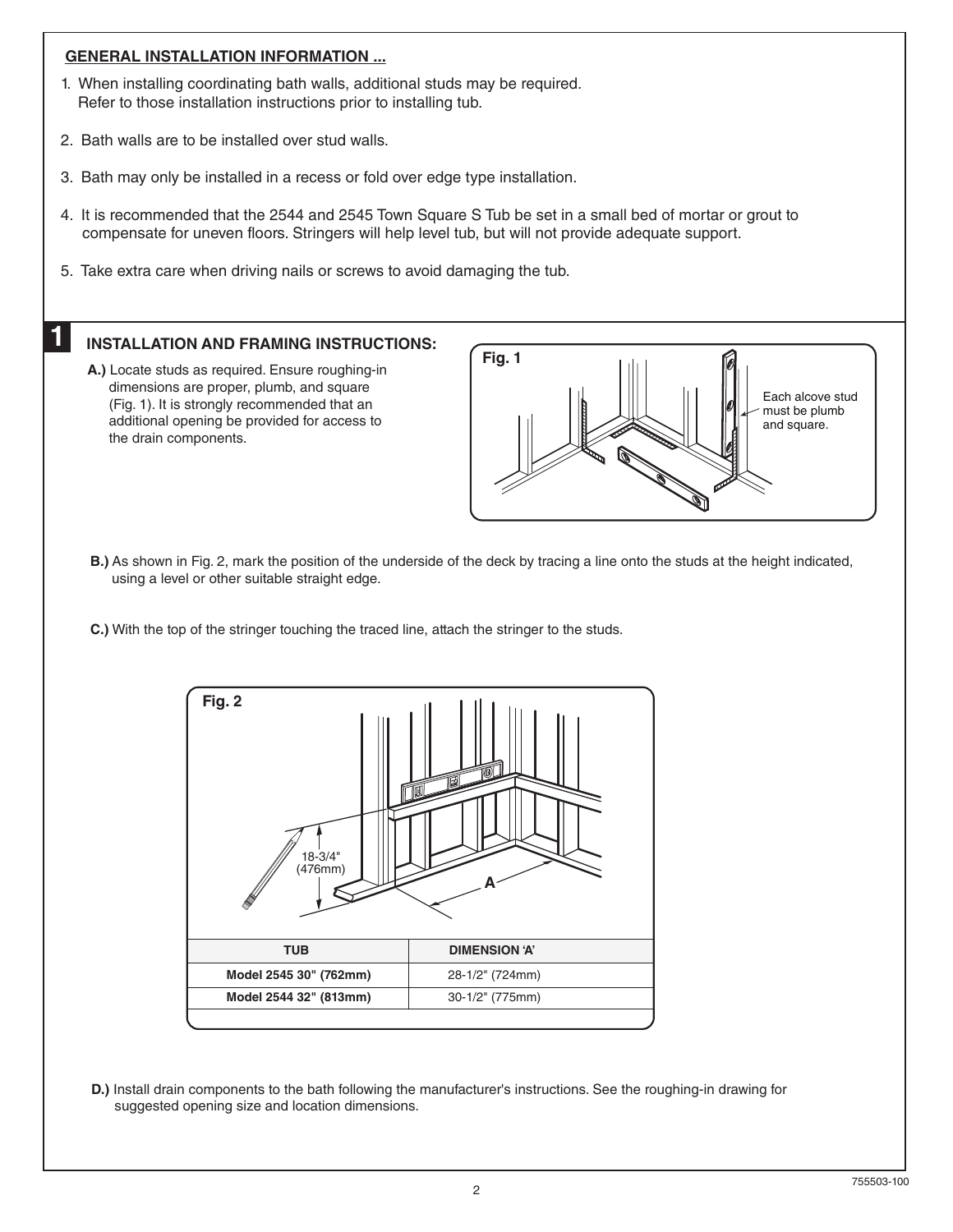# **GENERAL INSTALLATION INFORMATION ...**

- 1. When installing coordinating bath walls, additional studs may be required. Refer to those installation instructions prior to installing tub.
- 2. Bath walls are to be installed over stud walls.
- 3. Bath may only be installed in a recess or fold over edge type installation.
- 4. It is recommended that the 2544 and 2545 Town Square S Tub be set in a small bed of mortar or grout to compensate for uneven floors. Stringers will help level tub, but will not provide adequate support.
- 5. Take extra care when driving nails or screws to avoid damaging the tub.

# **INSTALLATION AND FRAMING INSTRUCTIONS:**

**A.)** Locate studs as required. Ensure roughing-in dimensions are proper, plumb, and square (Fig. 1). It is strongly recommended that an additional opening be provided for access to the drain components.

**1**



- **B.)** As shown in Fig. 2, mark the position of the underside of the deck by tracing a line onto the studs at the height indicated, using a level or other suitable straight edge.
- **C.)** With the top of the stringer touching the traced line, attach the stringer to the studs.



**D.)** Install drain components to the bath following the manufacturer's instructions. See the roughing-in drawing for suggested opening size and location dimensions.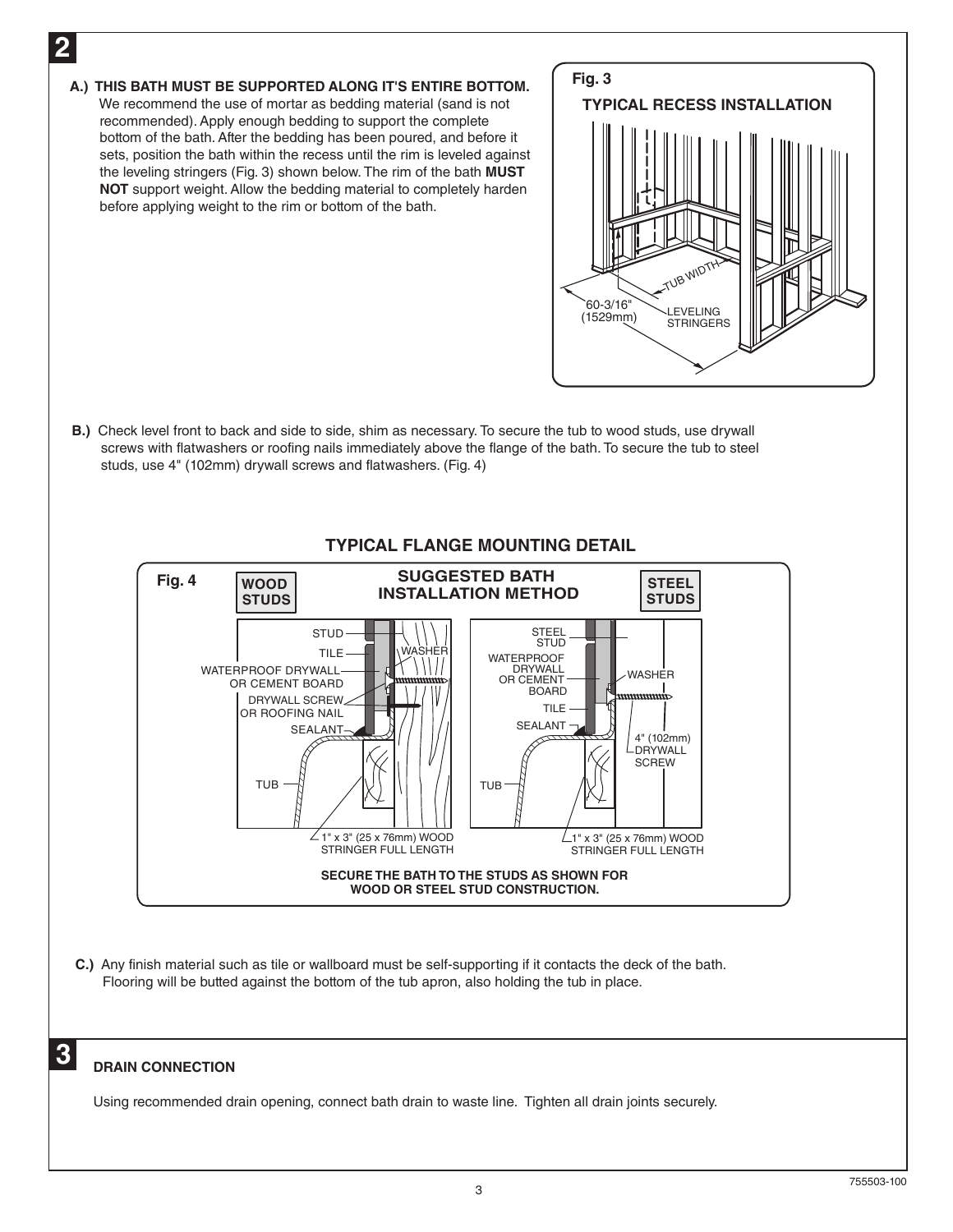

Using recommended drain opening, connect bath drain to waste line. Tighten all drain joints securely.